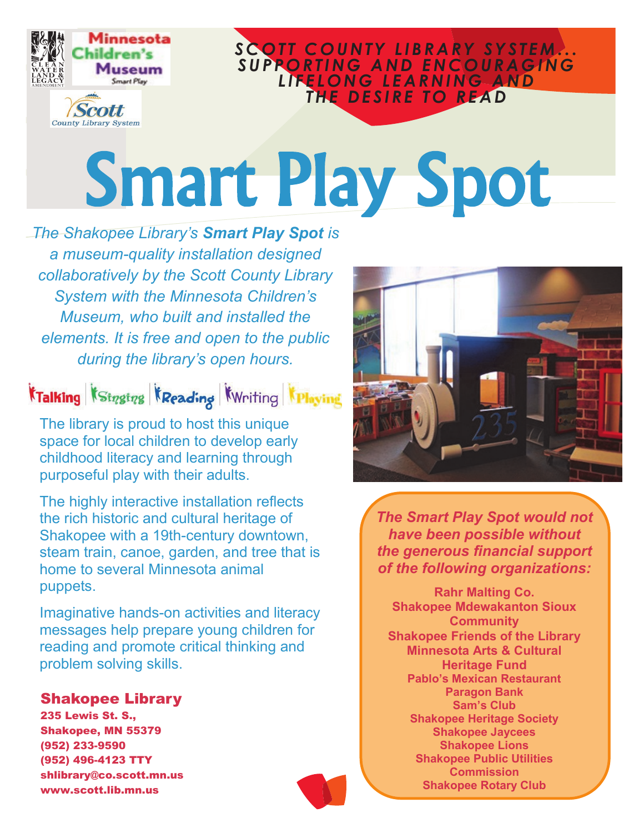

### S CO TT COUNTY LIBRARY SYSTEM... S U P P O R T I N G A N D E N C O U R A G I N G *L I F E L O N G L E A R N I N G A N D*  THE DESIRE TO READ

# Smart Play Spot

*The Shakopee Library's Smart Play Spot is a museum-quality installation designed collaboratively by the Scott County Library System with the Minnesota Children's Museum, who built and installed the elements. It is free and open to the public during the library's open hours.*

KTalking KStrgtrg KReading KWriting KPlaying

The library is proud to host this unique space for local children to develop early childhood literacy and learning through purposeful play with their adults.

The highly interactive installation reflects the rich historic and cultural heritage of Shakopee with a 19th-century downtown, steam train, canoe, garden, and tree that is home to several Minnesota animal puppets.

Imaginative hands-on activities and literacy messages help prepare young children for reading and promote critical thinking and problem solving skills.

#### Shakopee Library

235 Lewis St. S., Shakopee, MN 55379 (952) 233-9590 (952) 496-4123 TTY shlibrary@co.scott.mn.us www.scott.lib.mn.us



*The Smart Play Spot would not have been possible without the generous financial support of the following organizations:*

**Rahr Malting Co. Shakopee Mdewakanton Sioux Community Shakopee Friends of the Library Minnesota Arts & Cultural Heritage Fund Pablo's Mexican Restaurant Paragon Bank Sam's Club Shakopee Heritage Society Shakopee Jaycees Shakopee Lions Shakopee Public Utilities Commission Shakopee Rotary Club**